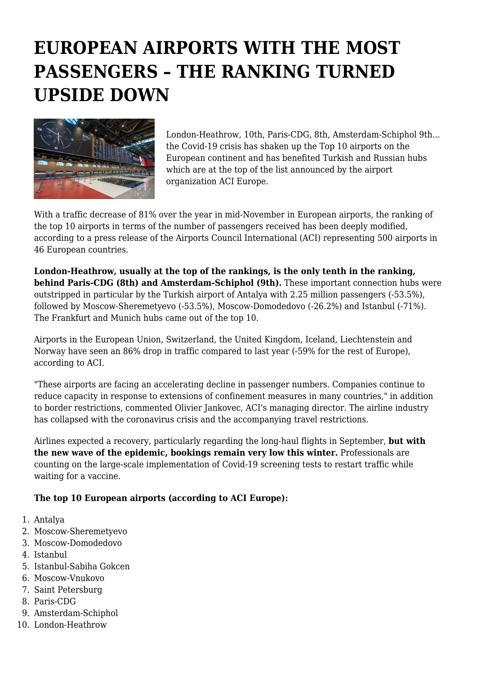## **EUROPEAN AIRPORTS WITH THE MOST PASSENGERS – THE RANKING TURNED UPSIDE DOWN**



London-Heathrow, 10th, Paris-CDG, 8th, Amsterdam-Schiphol 9th... the Covid-19 crisis has shaken up the Top 10 airports on the European continent and has benefited Turkish and Russian hubs which are at the top of the list announced by the airport organization ACI Europe.

With a traffic decrease of 81% over the year in mid-November in European airports, the ranking of the top 10 airports in terms of the number of passengers received has been deeply modified, according to a press release of the Airports Council International (ACI) representing 500 airports in 46 European countries.

**London-Heathrow, usually at the top of the rankings, is the only tenth in the ranking, behind Paris-CDG (8th) and Amsterdam-Schiphol (9th).** These important connection hubs were outstripped in particular by the Turkish airport of Antalya with 2.25 million passengers (-53.5%), followed by Moscow-Sheremetyevo (-53.5%), Moscow-Domodedovo (-26.2%) and Istanbul (-71%). The Frankfurt and Munich hubs came out of the top 10.

Airports in the European Union, Switzerland, the United Kingdom, Iceland, Liechtenstein and Norway have seen an 86% drop in traffic compared to last year (-59% for the rest of Europe), according to ACI.

"These airports are facing an accelerating decline in passenger numbers. Companies continue to reduce capacity in response to extensions of confinement measures in many countries," in addition to border restrictions, commented Olivier Jankovec, ACI's managing director. The airline industry has collapsed with the coronavirus crisis and the accompanying travel restrictions.

Airlines expected a recovery, particularly regarding the long-haul flights in September, **but with the new wave of the epidemic, bookings remain very low this winter.** Professionals are counting on the large-scale implementation of Covid-19 screening tests to restart traffic while waiting for a vaccine.

## **The top 10 European airports (according to ACI Europe):**

- 1. Antalya
- 2. Moscow-Sheremetyevo
- 3. Moscow-Domodedovo
- 4. Istanbul
- 5. Istanbul-Sabiha Gokcen
- 6. Moscow-Vnukovo
- 7. Saint Petersburg
- 8. Paris-CDG
- 9. Amsterdam-Schiphol
- 10. London-Heathrow